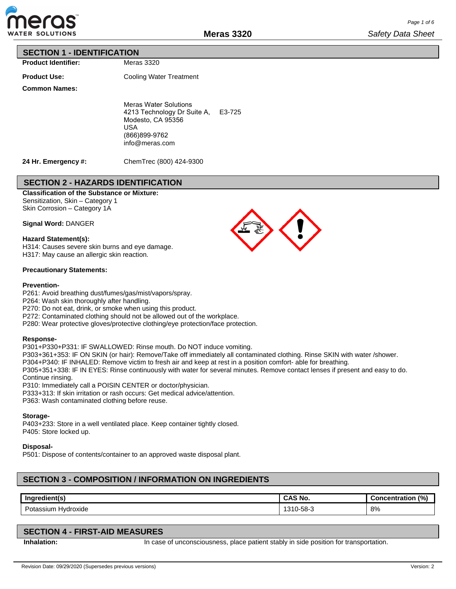

## **SECTION 1 - IDENTIFICATION**

**Product Identifier:**

Meras 3320

**Product Use:**

**Common Names:**

Cooling Water Treatment

Meras Water Solutions 4213 Technology Dr Suite A, E3-725 Modesto, CA 95356 USA (866)899-9762 info@meras.com

**24 Hr. Emergency #:**

ChemTrec (800) 424-9300

# **SECTION 2 - HAZARDS IDENTIFICATION**

## **Classification of the Substance or Mixture:**

Sensitization, Skin – Category 1 Skin Corrosion – Category 1A

**Signal Word:** DANGER

## **Hazard Statement(s):**

H314: Causes severe skin burns and eye damage. H317: May cause an allergic skin reaction.

#### **Precautionary Statements:**

#### **Prevention-**

P261: Avoid breathing dust/fumes/gas/mist/vapors/spray.

P264: Wash skin thoroughly after handling.

P270: Do not eat, drink, or smoke when using this product.

P272: Contaminated clothing should not be allowed out of the workplace.

P280: Wear protective gloves/protective clothing/eye protection/face protection.

## **Response-**

P301+P330+P331: IF SWALLOWED: Rinse mouth. Do NOT induce vomiting.

P303+361+353: IF ON SKIN (or hair): Remove/Take off immediately all contaminated clothing. Rinse SKIN with water /shower.

P304+P340: IF INHALED: Remove victim to fresh air and keep at rest in a position comfort- able for breathing.

P305+351+338: IF IN EYES: Rinse continuously with water for several minutes. Remove contact lenses if present and easy to do. Continue rinsing.

P310: Immediately call a POISIN CENTER or doctor/physician.

P333+313: If skin irritation or rash occurs: Get medical advice/attention.

P363: Wash contaminated clothing before reuse.

## **Storage-**

P403+233: Store in a well ventilated place. Keep container tightly closed. P405: Store locked up.

## **Disposal-**

P501: Dispose of contents/container to an approved waste disposal plant.

# **SECTION 3 - COMPOSITION / INFORMATION ON INGREDIENTS**

| Ingredient(s)                          | <b>CAS No.</b> | (%)<br>:oncentration |
|----------------------------------------|----------------|----------------------|
| -<br>Hydroxide<br>Pota.<br>\ssium<br>. | $-58-3$<br>ا ت | 8%                   |

# **SECTION 4 - FIRST-AID MEASURES**

**Inhalation:** In case of unconsciousness, place patient stably in side position for transportation.

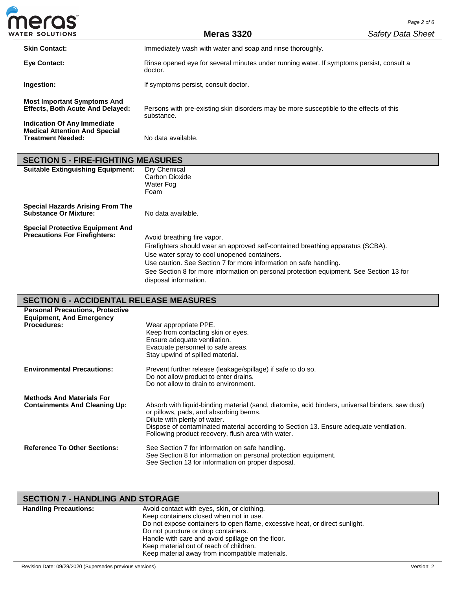| <b>meras</b>                                                                  |                                                                                                       | Page 2 of 6              |
|-------------------------------------------------------------------------------|-------------------------------------------------------------------------------------------------------|--------------------------|
| <b>WATER SOLUTIONS</b>                                                        | <b>Meras 3320</b>                                                                                     | <b>Safety Data Sheet</b> |
| <b>Skin Contact:</b>                                                          | Immediately wash with water and soap and rinse thoroughly.                                            |                          |
| <b>Eve Contact:</b>                                                           | Rinse opened eye for several minutes under running water. If symptoms persist, consult a<br>doctor.   |                          |
| Ingestion:                                                                    | If symptoms persist, consult doctor.                                                                  |                          |
| <b>Most Important Symptoms And</b><br><b>Effects, Both Acute And Delayed:</b> | Persons with pre-existing skin disorders may be more susceptible to the effects of this<br>substance. |                          |

**Treatment Needed:** No data available. **SECTION 5 - FIRE-FIGHTING MEASURES**<br>**Suitable Extinguishing Equipment:** Dry Chemical **Suitable Extinguishing Equipment:** Carbon Dioxide Water Fog Foam

**Special Hazards Arising From The Substance Or Mixture:** No data available.

**Special Protective Equipment And** 

**Indication Of Any Immediate Medical Attention And Special** 

> Avoid breathing fire vapor. Firefighters should wear an approved self-contained breathing apparatus (SCBA). Use water spray to cool unopened containers. Use caution. See Section 7 for more information on safe handling.

See Section 8 for more information on personal protection equipment. See Section 13 for disposal information.

# **SECTION 6 - ACCIDENTAL RELEASE MEASURES**

| <b>Personal Precautions, Protective</b><br><b>Equipment, And Emergency</b> |                                                                                                                                                                                                                                                                                                                            |
|----------------------------------------------------------------------------|----------------------------------------------------------------------------------------------------------------------------------------------------------------------------------------------------------------------------------------------------------------------------------------------------------------------------|
| <b>Procedures:</b>                                                         | Wear appropriate PPE.<br>Keep from contacting skin or eyes.<br>Ensure adequate ventilation.<br>Evacuate personnel to safe areas.<br>Stay upwind of spilled material.                                                                                                                                                       |
| <b>Environmental Precautions:</b>                                          | Prevent further release (leakage/spillage) if safe to do so.<br>Do not allow product to enter drains.<br>Do not allow to drain to environment.                                                                                                                                                                             |
| <b>Methods And Materials For</b><br><b>Containments And Cleaning Up:</b>   | Absorb with liquid-binding material (sand, diatomite, acid binders, universal binders, saw dust)<br>or pillows, pads, and absorbing berms.<br>Dilute with plenty of water.<br>Dispose of contaminated material according to Section 13. Ensure adequate ventilation.<br>Following product recovery, flush area with water. |
| <b>Reference To Other Sections:</b>                                        | See Section 7 for information on safe handling.<br>See Section 8 for information on personal protection equipment.<br>See Section 13 for information on proper disposal.                                                                                                                                                   |

| <b>SECTION 7 - HANDLING AND STORAGE</b>                                     |                                                   |  |  |  |  |  |
|-----------------------------------------------------------------------------|---------------------------------------------------|--|--|--|--|--|
| <b>Handling Precautions:</b>                                                | Avoid contact with eyes, skin, or clothing.       |  |  |  |  |  |
|                                                                             | Keep containers closed when not in use.           |  |  |  |  |  |
| Do not expose containers to open flame, excessive heat, or direct sunlight. |                                                   |  |  |  |  |  |
|                                                                             | Do not puncture or drop containers.               |  |  |  |  |  |
|                                                                             | Handle with care and avoid spillage on the floor. |  |  |  |  |  |
|                                                                             | Keep material out of reach of children.           |  |  |  |  |  |
|                                                                             | Keep material away from incompatible materials.   |  |  |  |  |  |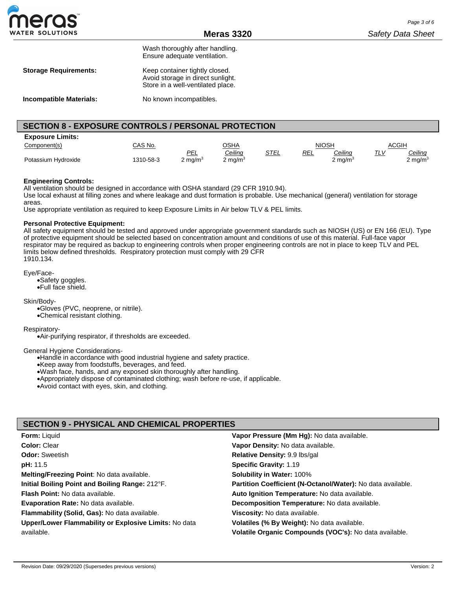

Wash thoroughly after handling. Ensure adequate ventilation.

| <b>Storage Requirements:</b> | Keep container tightly closed.    |
|------------------------------|-----------------------------------|
|                              | Avoid storage in direct sunlight. |
|                              | Store in a well-ventilated place. |

**Incompatible Materials:** No known incompatibles.

## **SECTION 8 - EXPOSURE CONTROLS / PERSONAL PROTECTION**

| <b>Exposure Limits:</b> |                |            |                    |             |              |                     |              |                |
|-------------------------|----------------|------------|--------------------|-------------|--------------|---------------------|--------------|----------------|
| Component(s)            | <u>CAS No.</u> |            | <u>OSHA</u>        |             | <b>NIOSH</b> |                     | <u>ACGIH</u> |                |
|                         |                | PEL        | Ceiling            | <u>STEL</u> | <u>REL</u>   | <u>Ceiling</u>      | $1 - v$      | <u>Ceiling</u> |
| Potassium Hydroxide     | 1310-58-3      | 2 mg/m $3$ | $2 \text{ mg/m}^3$ |             |              | 2 mg/m <sup>3</sup> |              | 2 mg/m $^3$    |

#### **Engineering Controls:**

All ventilation should be designed in accordance with OSHA standard (29 CFR 1910.94).

Use local exhaust at filling zones and where leakage and dust formation is probable. Use mechanical (general) ventilation for storage areas.

Use appropriate ventilation as required to keep Exposure Limits in Air below TLV & PEL limits.

#### **Personal Protective Equipment:**

All safety equipment should be tested and approved under appropriate government standards such as NIOSH (US) or EN 166 (EU). Type of protective equipment should be selected based on concentration amount and conditions of use of this material. Full-face vapor respirator may be required as backup to engineering controls when proper engineering controls are not in place to keep TLV and PEL limits below defined thresholds. Respiratory protection must comply with 29 CFR 1910.134.

Eye/Face-

•Safety goggles. •Full face shield.

Skin/Body-

•Gloves (PVC, neoprene, or nitrile).

•Chemical resistant clothing.

Respiratory-

•Air-purifying respirator, if thresholds are exceeded.

#### General Hygiene Considerations-

•Handle in accordance with good industrial hygiene and safety practice.

•Keep away from foodstuffs, beverages, and feed.

•Wash face, hands, and any exposed skin thoroughly after handling.

•Appropriately dispose of contaminated clothing; wash before re-use, if applicable.

•Avoid contact with eyes, skin, and clothing.

## **SECTION 9 - PHYSICAL AND CHEMICAL PROPERTIES**

| <b>Form: Liquid</b>                                   | Vapor Pressure (Mm Hg): No data available.                  |
|-------------------------------------------------------|-------------------------------------------------------------|
| Color: Clear                                          | Vapor Density: No data available.                           |
| <b>Odor: Sweetish</b>                                 | Relative Density: 9.9 lbs/gal                               |
| <b>pH:</b> 11.5                                       | <b>Specific Gravity: 1.19</b>                               |
| Melting/Freezing Point: No data available.            | <b>Solubility in Water: 100%</b>                            |
| Initial Boiling Point and Boiling Range: 212°F.       | Partition Coefficient (N-Octanol/Water): No data available. |
| <b>Flash Point:</b> No data available.                | Auto Ignition Temperature: No data available.               |
| <b>Evaporation Rate: No data available.</b>           | Decomposition Temperature: No data available.               |
| Flammability (Solid, Gas): No data available.         | Viscosity: No data available.                               |
| Upper/Lower Flammability or Explosive Limits: No data | Volatiles (% By Weight): No data available.                 |
| available.                                            | Volatile Organic Compounds (VOC's): No data available.      |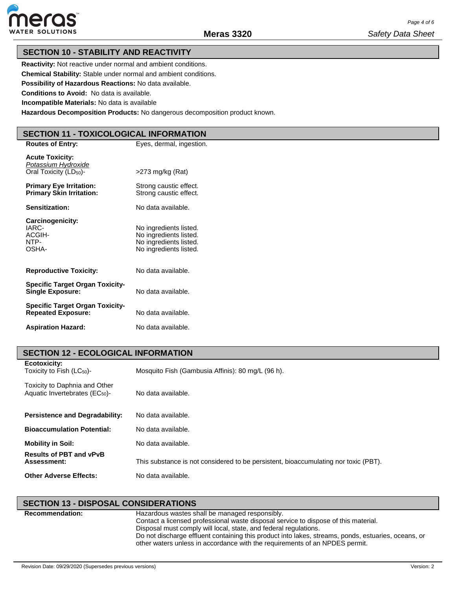

## **SECTION 10 - STABILITY AND REACTIVITY**

**Reactivity:** Not reactive under normal and ambient conditions.

**Chemical Stability:** Stable under normal and ambient conditions.

**Possibility of Hazardous Reactions:** No data available.

**Conditions to Avoid:** No data is available.

**Incompatible Materials:** No data is available

**Hazardous Decomposition Products:** No dangerous decomposition product known.

## **SECTION 11 - TOXICOLOGICAL INFORMATION**

| <b>Routes of Entry:</b>                                                             | Eyes, dermal, ingestion.                                                                             |
|-------------------------------------------------------------------------------------|------------------------------------------------------------------------------------------------------|
| <b>Acute Toxicity:</b><br>Potassium Hydroxide<br>Oral Toxicity (LD <sub>50</sub> )- | >273 mg/kg (Rat)                                                                                     |
| <b>Primary Eye Irritation:</b><br><b>Primary Skin Irritation:</b>                   | Strong caustic effect.<br>Strong caustic effect.                                                     |
| Sensitization:                                                                      | No data available.                                                                                   |
| Carcinogenicity:<br>IARC-<br>ACGIH-<br>NTP-<br>OSHA-                                | No ingredients listed.<br>No ingredients listed.<br>No ingredients listed.<br>No ingredients listed. |
| <b>Reproductive Toxicity:</b>                                                       | No data available.                                                                                   |
| <b>Specific Target Organ Toxicity-</b><br><b>Single Exposure:</b>                   | No data available.                                                                                   |
| <b>Specific Target Organ Toxicity-</b><br><b>Repeated Exposure:</b>                 | No data available.                                                                                   |
| <b>Aspiration Hazard:</b>                                                           | No data available.                                                                                   |

# **SECTION 12 - ECOLOGICAL INFORMATION**

| Ecotoxicity:<br>Toxicity to Fish $(LC_{50})$ -                              | Mosquito Fish (Gambusia Affinis): 80 mg/L (96 h).                                   |
|-----------------------------------------------------------------------------|-------------------------------------------------------------------------------------|
| Toxicity to Daphnia and Other<br>Aquatic Invertebrates (EC <sub>50</sub> )- | No data available.                                                                  |
| <b>Persistence and Degradability:</b>                                       | No data available.                                                                  |
| <b>Bioaccumulation Potential:</b>                                           | No data available.                                                                  |
| <b>Mobility in Soil:</b>                                                    | No data available.                                                                  |
| <b>Results of PBT and vPvB</b><br>Assessment:                               | This substance is not considered to be persistent, bioaccumulating nor toxic (PBT). |
| <b>Other Adverse Effects:</b>                                               | No data available.                                                                  |

# **SECTION 13 - DISPOSAL CONSIDERATIONS**

| <b>Recommendation:</b> | Hazardous wastes shall be managed responsibly.<br>Contact a licensed professional waste disposal service to dispose of this material.                                                                                                                  |
|------------------------|--------------------------------------------------------------------------------------------------------------------------------------------------------------------------------------------------------------------------------------------------------|
|                        | Disposal must comply will local, state, and federal regulations.<br>Do not discharge effluent containing this product into lakes, streams, ponds, estuaries, oceans, or<br>other waters unless in accordance with the requirements of an NPDES permit. |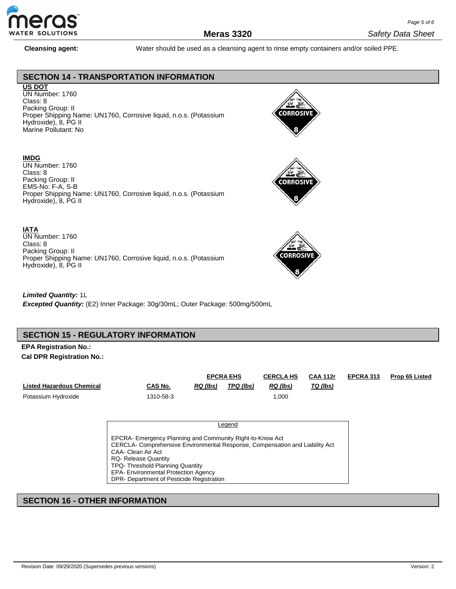

**Cleansing agent:** Water should be used as a cleansing agent to rinse empty containers and/or soiled PPE.

## **SECTION 14 - TRANSPORTATION INFORMATION**

## **US DOT**

UN Number: 1760 Class: 8 Packing Group: II Proper Shipping Name: UN1760, Corrosive liquid, n.o.s. (Potassium Hydroxide), 8, PG II Marine Pollutant: No

## **IMDG**

UN Number: 1760 Class: 8 Packing Group: II EMS-No: F-A, S-B Proper Shipping Name: UN1760, Corrosive liquid, n.o.s. (Potassium Hydroxide), 8, PG II

## **IATA**

UN Number: 1760 Class: 8 Packing Group: II Proper Shipping Name: UN1760, Corrosive liquid, n.o.s. (Potassium Hydroxide), 8, PG II







*Limited Quantity:* 1L *Excepted Quantity:* (E2) Inner Package: 30g/30mL; Outer Package: 500mg/500mL

## **SECTION 15 - REGULATORY INFORMATION**

# **EPA Registration No.:**

**Cal DPR Registration No.:**

|                           |           | <b>EPCRA EHS</b> |           | <b>CERCLA HS</b> | <b>CAA 112r</b> | <b>EPCRA 313</b> | Prop 65 Listed |
|---------------------------|-----------|------------------|-----------|------------------|-----------------|------------------|----------------|
| Listed Hazardous Chemical | CAS No.   | RQ (lbs)         | TPQ (lbs) | RQ (lbs)         | TQ (lbs)        |                  |                |
| Potassium Hydroxide       | 1310-58-3 |                  |           | 000.             |                 |                  |                |

**Legend** 

EPCRA- Emergency Planning and Community Right-to-Know Act CERCLA- Comprehensive Environmental Response, Compensation and Liability Act CAA- Clean Air Act RQ- Release Quantity TPQ- Threshold Planning Quantity EPA- Environmental Protection Agency DPR- Department of Pesticide Registration

# **SECTION 16 - OTHER INFORMATION**